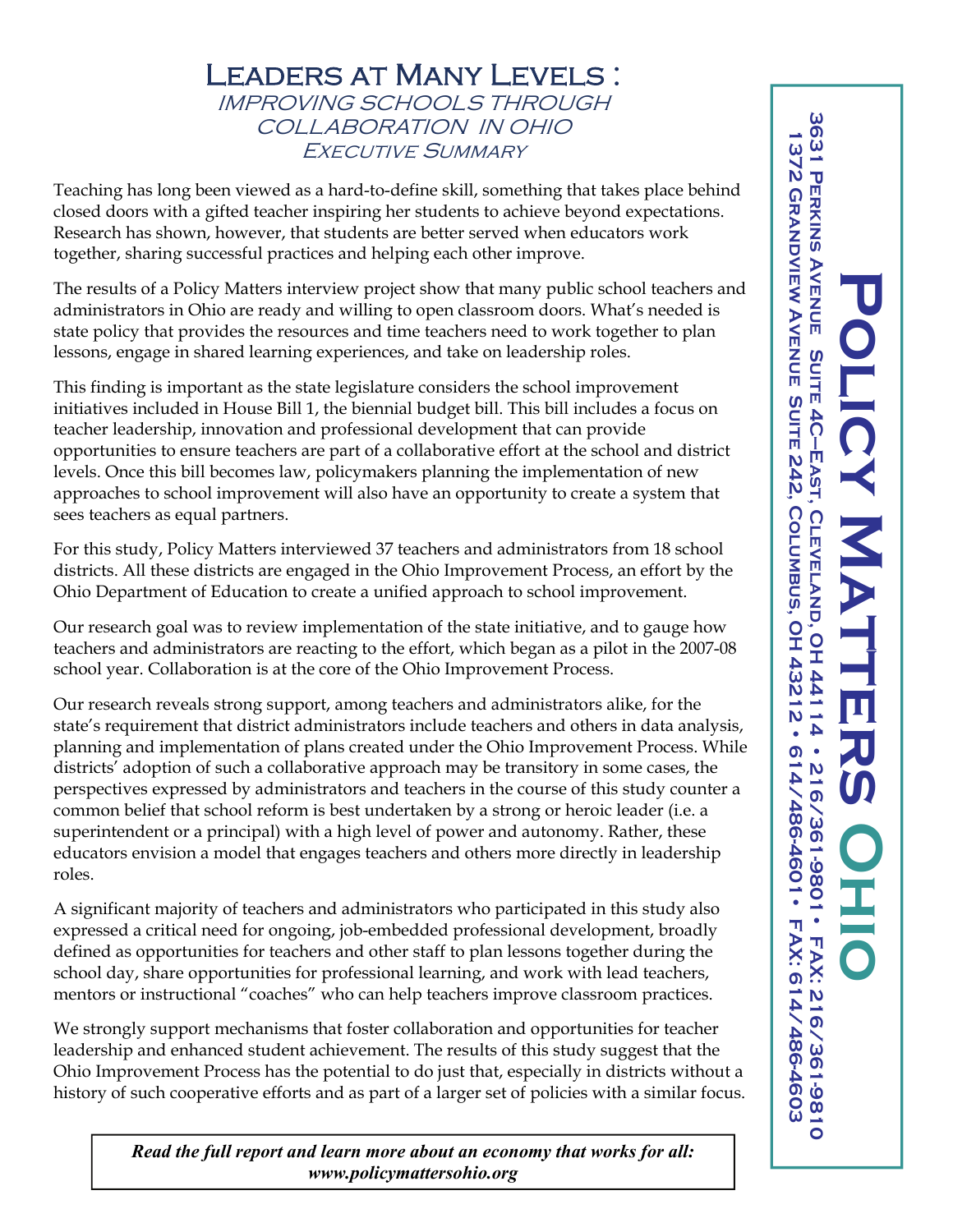## Leaders at Many Levels : IMPROVING SCHOOLS THROUGH COLLABORATION IN OHIO Executive Summary

Teaching has long been viewed as a hard-to-define skill, something that takes place behind closed doors with a gifted teacher inspiring her students to achieve beyond expectations. Research has shown, however, that students are better served when educators work together, sharing successful practices and helping each other improve.

The results of a Policy Matters interview project show that many public school teachers and administrators in Ohio are ready and willing to open classroom doors. What's needed is state policy that provides the resources and time teachers need to work together to plan lessons, engage in shared learning experiences, and take on leadership roles.

This finding is important as the state legislature considers the school improvement initiatives included in House Bill 1, the biennial budget bill. This bill includes a focus on teacher leadership, innovation and professional development that can provide opportunities to ensure teachers are part of a collaborative effort at the school and district levels. Once this bill becomes law, policymakers planning the implementation of new approaches to school improvement will also have an opportunity to create a system that sees teachers as equal partners.

For this study, Policy Matters interviewed 37 teachers and administrators from 18 school districts. All these districts are engaged in the Ohio Improvement Process, an effort by the Ohio Department of Education to create a unified approach to school improvement.

Our research goal was to review implementation of the state initiative, and to gauge how teachers and administrators are reacting to the effort, which began as a pilot in the 2007-08 school year. Collaboration is at the core of the Ohio Improvement Process.

Our research reveals strong support, among teachers and administrators alike, for the state's requirement that district administrators include teachers and others in data analysis, planning and implementation of plans created under the Ohio Improvement Process. While districts' adoption of such a collaborative approach may be transitory in some cases, the perspectives expressed by administrators and teachers in the course of this study counter a common belief that school reform is best undertaken by a strong or heroic leader (i.e. a superintendent or a principal) with a high level of power and autonomy. Rather, these educators envision a model that engages teachers and others more directly in leadership roles.

A significant majority of teachers and administrators who participated in this study also expressed a critical need for ongoing, job-embedded professional development, broadly defined as opportunities for teachers and other staff to plan lessons together during the school day, share opportunities for professional learning, and work with lead teachers, mentors or instructional "coaches" who can help teachers improve classroom practices.

We strongly support mechanisms that foster collaboration and opportunities for teacher leadership and enhanced student achievement. The results of this study suggest that the Ohio Improvement Process has the potential to do just that, especially in districts without a history of such cooperative efforts and as part of a larger set of policies with a similar focus.

> *Read the full report and learn more about an economy that works for all: www.policymattersohio.org*